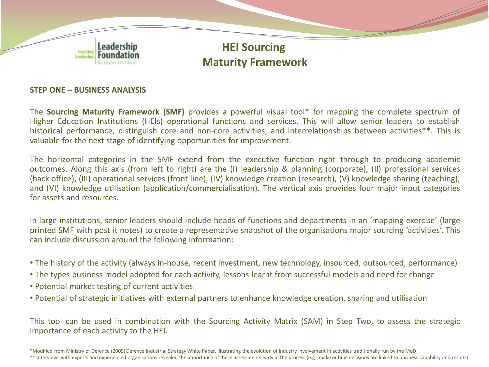

### **STEP ONE – BUSINESS ANALYSIS**

The **Sourcing Maturity Framework (SMF)** provides a powerful visual tool\* for mapping the complete spectrum of Higher Education Institutions (HEIs) operational functions and services. This will allow senior leaders to establish historical performance, distinguish core and non-core activities, and interrelationships between activities\*\*. This is valuable for the next stage of identifying opportunities for improvement.

The horizontal categories in the SMF extend from the executive function right through to producing academic outcomes. Along this axis (from left to right) are the (I) leadership & planning (corporate), (II) professional services (back office), (III) operational services (front line), (IV) knowledge creation (research), (V) knowledge sharing (teaching), and (VI) knowledge utilisation (application/commercialisation). The vertical axis provides four major input categories for assets and resources.

In large institutions, senior leaders should include heads of functions and departments in an 'mapping exercise' (large printed SMF with post it notes) to create a representative snapshot of the organisations major sourcing 'activities'. This can include discussion around the following information:

- The history of the activity (always in-house, recent investment, new technology, insourced, outsourced, performance)
- The types business model adopted for each activity, lessons learnt from successful models and need for change
- Potential market testing of current activities
- Potential of strategic initiatives with external partners to enhance knowledge creation, sharing and utilisation

This tool can be used in combination with the Sourcing Activity Matrix (SAM) in Step Two, to assess the strategic importance of each activity to the HEI.

\*Modified from Ministry of Defence (2005) Defence Industrial Strategy White Paper, illustrating the evolution of industry involvement in activities traditionally run by the MoD \*\* Interviews with experts and experienced organisations revealed the importance of these assessments early in the process (e.g. 'make or buy' decisions are linked to business capability and results)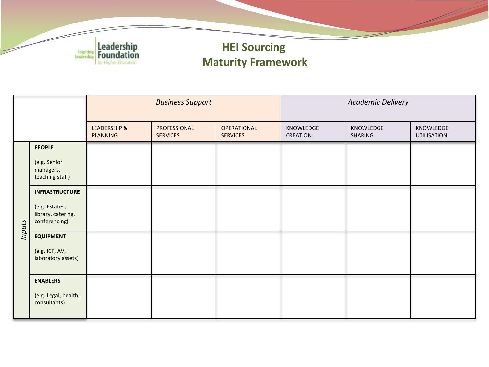

# **HEI Sourcing Maturity Framework**

|        |                                                                                | <b>Business Support</b>                    |                                 |                                       | <b>Academic Delivery</b>     |                      |                          |
|--------|--------------------------------------------------------------------------------|--------------------------------------------|---------------------------------|---------------------------------------|------------------------------|----------------------|--------------------------|
|        |                                                                                | <b>LEADERSHIP &amp;</b><br><b>PLANNING</b> | PROFESSIONAL<br><b>SERVICES</b> | <b>OPERATIONAL</b><br><b>SERVICES</b> | KNOWLEDGE<br><b>CREATION</b> | KNOWLEDGE<br>SHARING | KNOWLEDGE<br>UTILISATION |
| Inputs | <b>PEOPLE</b><br>(e.g. Senior<br>managers,<br>teaching staff)                  |                                            |                                 |                                       |                              |                      |                          |
|        | <b>INFRASTRUCTURE</b><br>(e.g. Estates,<br>library, catering,<br>conferencing) |                                            |                                 |                                       |                              |                      |                          |
|        | <b>EQUIPMENT</b><br>(e.g. ICT, AV,<br>laboratory assets)                       |                                            |                                 |                                       |                              |                      |                          |
|        | <b>ENABLERS</b><br>(e.g. Legal, health,<br>consultants)                        |                                            |                                 |                                       |                              |                      |                          |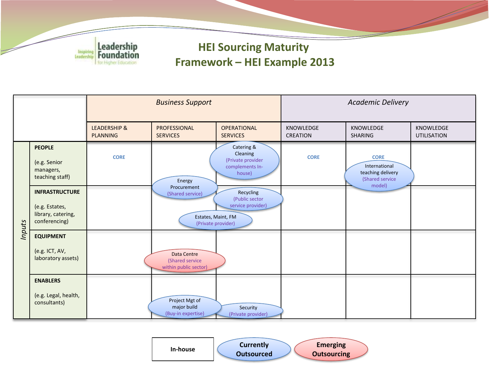

# **HEI Sourcing Maturity Framework – HEI Example 2013**



**Currently Outsourced Emerging In-house Currencity Currencity Currencity Currencity**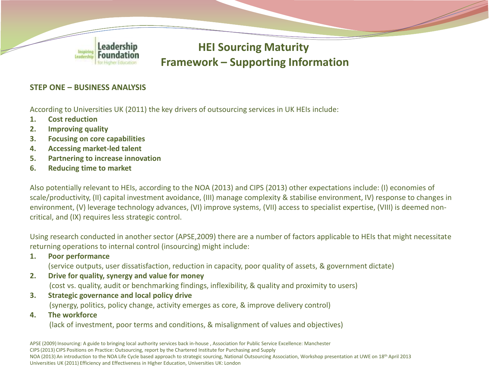

# **HEI Sourcing Maturity Framework – Supporting Information**

### **STEP ONE – BUSINESS ANALYSIS**

According to Universities UK (2011) the key drivers of outsourcing services in UK HEIs include:

- **1. Cost reduction**
- **2. Improving quality**
- **3. Focusing on core capabilities**
- **4. Accessing market-led talent**
- **5. Partnering to increase innovation**
- **6. Reducing time to market**

Also potentially relevant to HEIs, according to the NOA (2013) and CIPS (2013) other expectations include: (I) economies of scale/productivity, (II) capital investment avoidance, (III) manage complexity & stabilise environment, IV) response to changes in environment, (V) leverage technology advances, (VI) improve systems, (VII) access to specialist expertise, (VIII) is deemed noncritical, and (IX) requires less strategic control.

Using research conducted in another sector (APSE,2009) there are a number of factors applicable to HEIs that might necessitate returning operations to internal control (insourcing) might include:

**1. Poor performance**

(service outputs, user dissatisfaction, reduction in capacity, poor quality of assets, & government dictate)

- **2. Drive for quality, synergy and value for money** (cost vs. quality, audit or benchmarking findings, inflexibility, & quality and proximity to users)
- **3. Strategic governance and local policy drive**  (synergy, politics, policy change, activity emerges as core, & improve delivery control)
- **4. The workforce**

(lack of investment, poor terms and conditions, & misalignment of values and objectives)

APSE (2009) Insourcing: A guide to bringing local authority services back in-house , Association for Public Service Excellence: Manchester CIPS (2013) CIPS Positions on Practice: Outsourcing, report by the Chartered Institute for Purchasing and Supply NOA (2013) An introduction to the NOA Life Cycle based approach to strategic sourcing, National Outsourcing Association, Workshop presentation at UWE on 18<sup>th</sup> April 2013 Universities UK (2011) Efficiency and Effectiveness in Higher Education, Universities UK: London